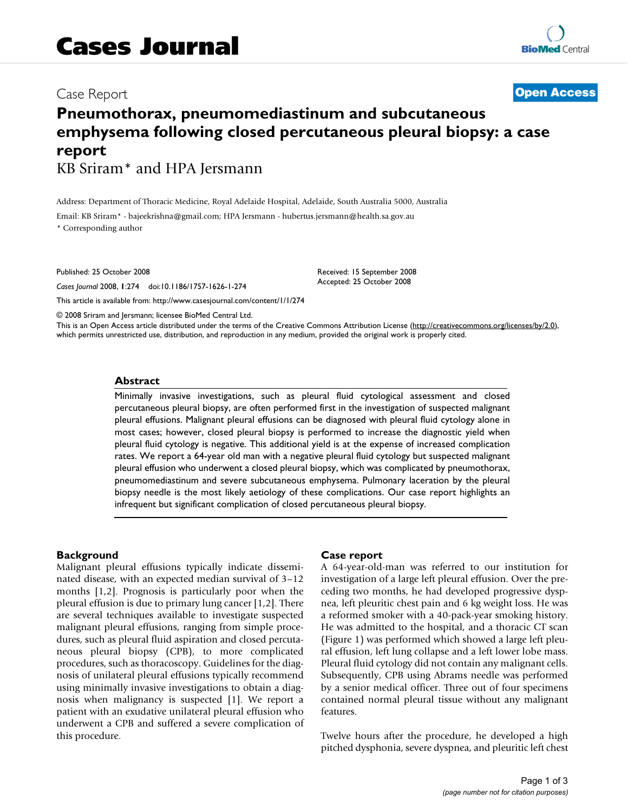# Case Report **[Open Access](http://www.biomedcentral.com/info/about/charter/)**

# **Pneumothorax, pneumomediastinum and subcutaneous emphysema following closed percutaneous pleural biopsy: a case report**

KB Sriram\* and HPA Jersmann

Address: Department of Thoracic Medicine, Royal Adelaide Hospital, Adelaide, South Australia 5000, Australia

Email: KB Sriram\* - bajeekrishna@gmail.com; HPA Jersmann - hubertus.jersmann@health.sa.gov.au \* Corresponding author

Published: 25 October 2008

*Cases Journal* 2008, **1**:274 doi:10.1186/1757-1626-1-274

[This article is available from: http://www.casesjournal.com/content/1/1/274](http://www.casesjournal.com/content/1/1/274)

© 2008 Sriram and Jersmann; licensee BioMed Central Ltd.

This is an Open Access article distributed under the terms of the Creative Commons Attribution License [\(http://creativecommons.org/licenses/by/2.0\)](http://creativecommons.org/licenses/by/2.0), which permits unrestricted use, distribution, and reproduction in any medium, provided the original work is properly cited.

Received: 15 September 2008 Accepted: 25 October 2008

### **Abstract**

Minimally invasive investigations, such as pleural fluid cytological assessment and closed percutaneous pleural biopsy, are often performed first in the investigation of suspected malignant pleural effusions. Malignant pleural effusions can be diagnosed with pleural fluid cytology alone in most cases; however, closed pleural biopsy is performed to increase the diagnostic yield when pleural fluid cytology is negative. This additional yield is at the expense of increased complication rates. We report a 64-year old man with a negative pleural fluid cytology but suspected malignant pleural effusion who underwent a closed pleural biopsy, which was complicated by pneumothorax, pneumomediastinum and severe subcutaneous emphysema. Pulmonary laceration by the pleural biopsy needle is the most likely aetiology of these complications. Our case report highlights an infrequent but significant complication of closed percutaneous pleural biopsy.

#### **Background**

Malignant pleural effusions typically indicate disseminated disease, with an expected median survival of 3–12 months [1,2]. Prognosis is particularly poor when the pleural effusion is due to primary lung cancer [1,2]. There are several techniques available to investigate suspected malignant pleural effusions, ranging from simple procedures, such as pleural fluid aspiration and closed percutaneous pleural biopsy (CPB), to more complicated procedures, such as thoracoscopy. Guidelines for the diagnosis of unilateral pleural effusions typically recommend using minimally invasive investigations to obtain a diagnosis when malignancy is suspected [1]. We report a patient with an exudative unilateral pleural effusion who underwent a CPB and suffered a severe complication of this procedure.

#### **Case report**

A 64-year-old-man was referred to our institution for investigation of a large left pleural effusion. Over the preceding two months, he had developed progressive dyspnea, left pleuritic chest pain and 6 kg weight loss. He was a reformed smoker with a 40-pack-year smoking history. He was admitted to the hospital, and a thoracic CT scan (Figure 1) was performed which showed a large left pleural effusion, left lung collapse and a left lower lobe mass. Pleural fluid cytology did not contain any malignant cells. Subsequently, CPB using Abrams needle was performed by a senior medical officer. Three out of four specimens contained normal pleural tissue without any malignant features.

Twelve hours after the procedure, he developed a high pitched dysphonia, severe dyspnea, and pleuritic left chest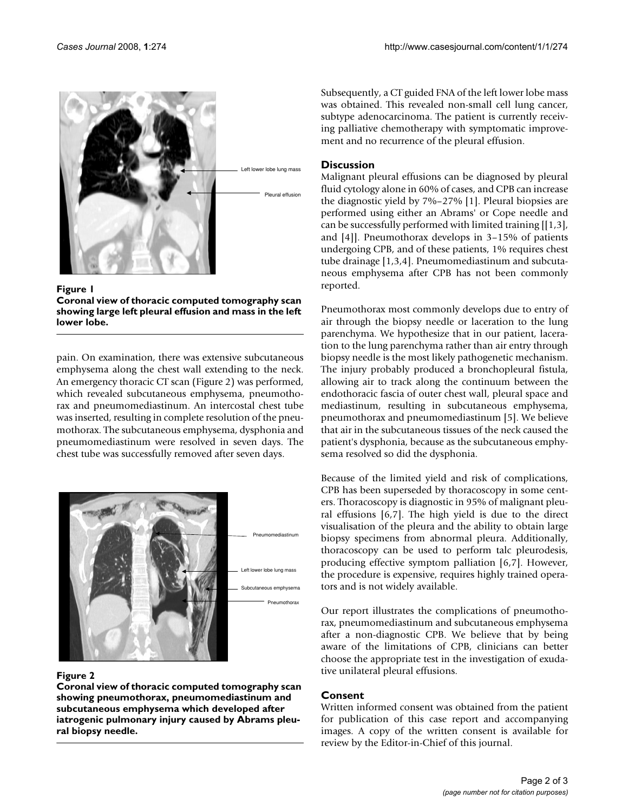

Figure l

**Coronal view of thoracic computed tomography scan showing large left pleural effusion and mass in the left lower lobe.**

pain. On examination, there was extensive subcutaneous emphysema along the chest wall extending to the neck. An emergency thoracic CT scan (Figure 2) was performed, which revealed subcutaneous emphysema, pneumothorax and pneumomediastinum. An intercostal chest tube was inserted, resulting in complete resolution of the pneumothorax. The subcutaneous emphysema, dysphonia and pneumomediastinum were resolved in seven days. The chest tube was successfully removed after seven days.



# Figure 2

**Coronal view of thoracic computed tomography scan showing pneumothorax, pneumomediastinum and subcutaneous emphysema which developed after iatrogenic pulmonary injury caused by Abrams pleural biopsy needle.**

Subsequently, a CT guided FNA of the left lower lobe mass was obtained. This revealed non-small cell lung cancer, subtype adenocarcinoma. The patient is currently receiving palliative chemotherapy with symptomatic improvement and no recurrence of the pleural effusion.

# **Discussion**

Malignant pleural effusions can be diagnosed by pleural fluid cytology alone in 60% of cases, and CPB can increase the diagnostic yield by 7%–27% [1]. Pleural biopsies are performed using either an Abrams' or Cope needle and can be successfully performed with limited training [[1,3], and [4]]. Pneumothorax develops in 3–15% of patients undergoing CPB, and of these patients, 1% requires chest tube drainage [1,3,4]. Pneumomediastinum and subcutaneous emphysema after CPB has not been commonly reported.

Pneumothorax most commonly develops due to entry of air through the biopsy needle or laceration to the lung parenchyma. We hypothesize that in our patient, laceration to the lung parenchyma rather than air entry through biopsy needle is the most likely pathogenetic mechanism. The injury probably produced a bronchopleural fistula, allowing air to track along the continuum between the endothoracic fascia of outer chest wall, pleural space and mediastinum, resulting in subcutaneous emphysema, pneumothorax and pneumomediastinum [5]. We believe that air in the subcutaneous tissues of the neck caused the patient's dysphonia, because as the subcutaneous emphysema resolved so did the dysphonia.

Because of the limited yield and risk of complications, CPB has been superseded by thoracoscopy in some centers. Thoracoscopy is diagnostic in 95% of malignant pleural effusions [6,7]. The high yield is due to the direct visualisation of the pleura and the ability to obtain large biopsy specimens from abnormal pleura. Additionally, thoracoscopy can be used to perform talc pleurodesis, producing effective symptom palliation [6,7]. However, the procedure is expensive, requires highly trained operators and is not widely available.

Our report illustrates the complications of pneumothorax, pneumomediastinum and subcutaneous emphysema after a non-diagnostic CPB. We believe that by being aware of the limitations of CPB, clinicians can better choose the appropriate test in the investigation of exudative unilateral pleural effusions.

# **Consent**

Written informed consent was obtained from the patient for publication of this case report and accompanying images. A copy of the written consent is available for review by the Editor-in-Chief of this journal.